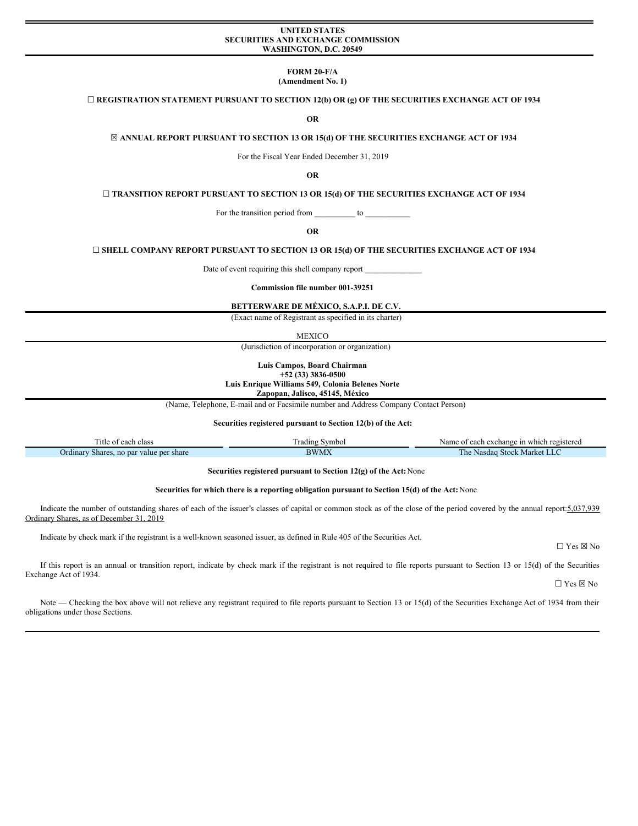## **UNITED STATES WASHINGTON, D.C. 20549**

**FORM 20-F/A (Amendment No. 1)**

# **SECURITIES AND EXCHANGE COMMISSION**

**☐ REGISTRATION STATEMENT PURSUANT TO SECTION 12(b) OR (g) OF THE SECURITIES EXCHANGE ACT OF 1934**

**OR**

**☒ ANNUAL REPORT PURSUANT TO SECTION 13 OR 15(d) OF THE SECURITIES EXCHANGE ACT OF 1934**

For the Fiscal Year Ended December 31, 2019

**OR**

**☐ TRANSITION REPORT PURSUANT TO SECTION 13 OR 15(d) OF THE SECURITIES EXCHANGE ACT OF 1934**

For the transition period from \_\_\_\_\_\_\_\_\_\_\_ to \_

**OR**

**☐ SHELL COMPANY REPORT PURSUANT TO SECTION 13 OR 15(d) OF THE SECURITIES EXCHANGE ACT OF 1934**

Date of event requiring this shell company report \_

**Commission file number 001-39251**

**BETTERWARE DE MÉXICO, S.A.P.I. DE C.V.**

(Exact name of Registrant as specified in its charter)

MEXICO

(Jurisdiction of incorporation or organization)

**Luis Campos, Board Chairman +52 (33) 3836-0500 Luis Enrique Williams 549, Colonia Belenes Norte Zapopan, Jalisco, 45145, México**

(Name, Telephone, E-mail and or Facsimile number and Address Company Contact Person)

**Securities registered pursuant to Section 12(b) of the Act:**

| $\sim$<br>l'itle<br>each class<br>. ot     | radıng<br>Symbol | e of each exchange in which registered<br>Name     |
|--------------------------------------------|------------------|----------------------------------------------------|
| Shares, no par value per share<br>Ordinary | <b>BWMX</b>      | Stock.<br><sup>N</sup> Market LL<br>ı he<br>Nasdag |

**Securities registered pursuant to Section 12(g) of the Act:**None

#### **Securities for which there is a reporting obligation pursuant to Section 15(d) of the Act:**None

Indicate the number of outstanding shares of each of the issuer's classes of capital or common stock as of the close of the period covered by the annual report: 5,037,939 Ordinary Shares, as of December 31, 2019

Indicate by check mark if the registrant is a well-known seasoned issuer, as defined in Rule 405 of the Securities Act.

 $\Box$  Yes  $\boxtimes$  No

If this report is an annual or transition report, indicate by check mark if the registrant is not required to file reports pursuant to Section 13 or 15(d) of the Securities Exchange Act of 1934.

 $\Box$  Yes  $\boxtimes$  No

Note — Checking the box above will not relieve any registrant required to file reports pursuant to Section 13 or 15(d) of the Securities Exchange Act of 1934 from their obligations under those Sections.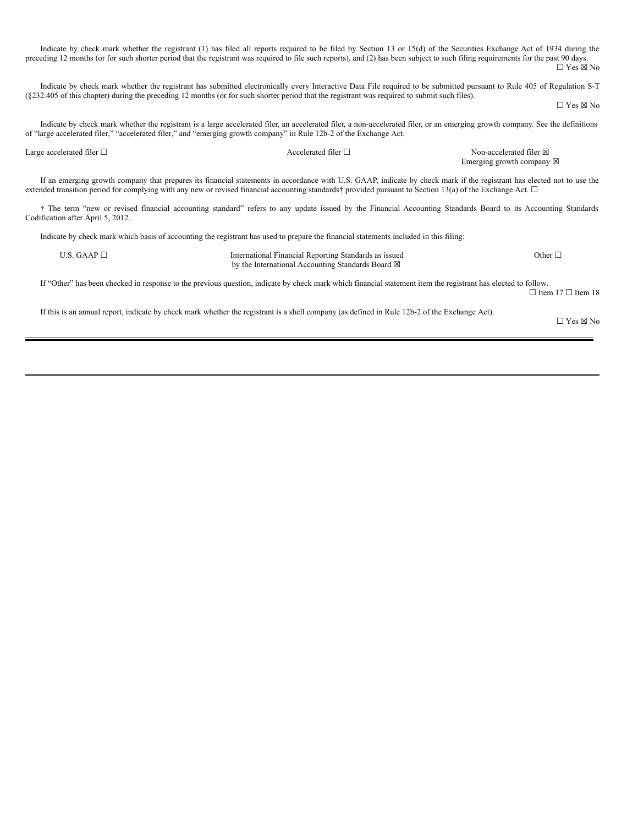Indicate by check mark whether the registrant (1) has filed all reports required to be filed by Section 13 or 15(d) of the Securities Exchange Act of 1934 during the preceding 12 months (or for such shorter period that the registrant was required to file such reports), and (2) has been subject to such filing requirements for the past 90 days.  $\Box$  Yes  $\boxtimes$  No Indicate by check mark whether the registrant has submitted electronically every Interactive Data File required to be submitted pursuant to Rule 405 of Regulation S-T (§232.405 of this chapter) during the preceding 12 months (or for such shorter period that the registrant was required to submit such files).  $\Box$  Yes  $\boxtimes$  No Indicate by check mark whether the registrant is a large accelerated filer, an accelerated filer, a non-accelerated filer, or an emerging growth company. See the definitions of "large accelerated filer," "accelerated filer," and "emerging growth company" in Rule 12b-2 of the Exchange Act. Large accelerated filer □ <br>
Accelerated filer □ Non-accelerated filer ⊠ Emerging growth company  $\boxtimes$ If an emerging growth company that prepares its financial statements in accordance with U.S. GAAP, indicate by check mark if the registrant has elected not to use the extended transition period for complying with any new or revised financial accounting standards† provided pursuant to Section 13(a) of the Exchange Act. □ † The term "new or revised financial accounting standard" refers to any update issued by the Financial Accounting Standards Board to its Accounting Standards Codification after April 5, 2012. Indicate by check mark which basis of accounting the registrant has used to prepare the financial statements included in this filing: U.S. GAAP □ **International Financial Reporting Standards as issued** by the International Accounting Standards Board  $\boxtimes$ Other □ If "Other" has been checked in response to the previous question, indicate by check mark which financial statement item the registrant has elected to follow. ☐ Item 17 ☐ Item 18 If this is an annual report, indicate by check mark whether the registrant is a shell company (as defined in Rule 12b-2 of the Exchange Act). ☐ Yes ☒ No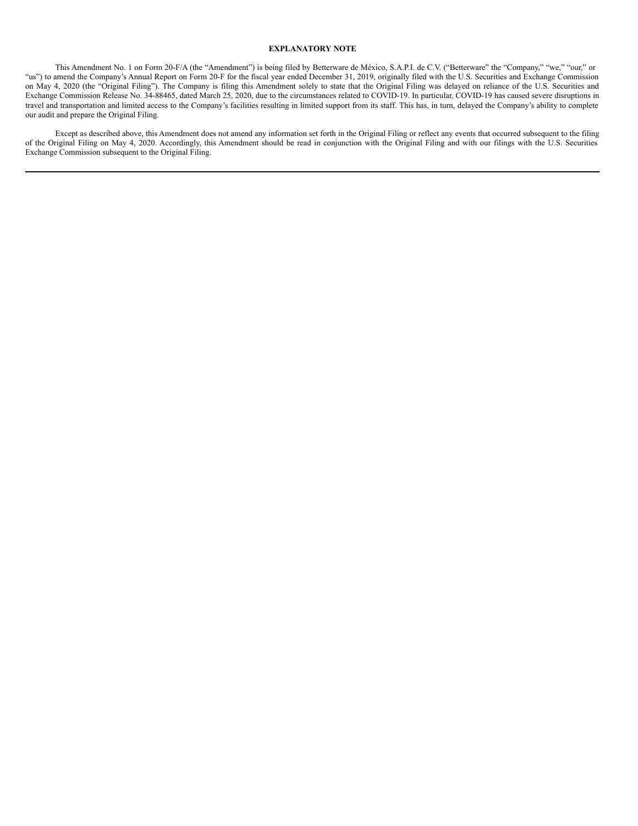#### **EXPLANATORY NOTE**

This Amendment No. 1 on Form 20-F/A (the "Amendment") is being filed by Betterware de México, S.A.P.I. de C.V. ("Betterware" the "Company," "we," "our," or "us") to amend the Company's Annual Report on Form 20-F for the fiscal year ended December 31, 2019, originally filed with the U.S. Securities and Exchange Commission on May 4, 2020 (the "Original Filing"). The Company is filing this Amendment solely to state that the Original Filing was delayed on reliance of the U.S. Securities and Exchange Commission Release No. 34-88465, dated March 25, 2020, due to the circumstances related to COVID-19. In particular, COVID-19 has caused severe disruptions in travel and transportation and limited access to the Company's facilities resulting in limited support from its staff. This has, in turn, delayed the Company's ability to complete our audit and prepare the Original Filing.

Except as described above, this Amendment does not amend any information set forth in the Original Filing or reflect any events that occurred subsequent to the filing of the Original Filing on May 4, 2020. Accordingly, this Amendment should be read in conjunction with the Original Filing and with our filings with the U.S. Securities Exchange Commission subsequent to the Original Filing.